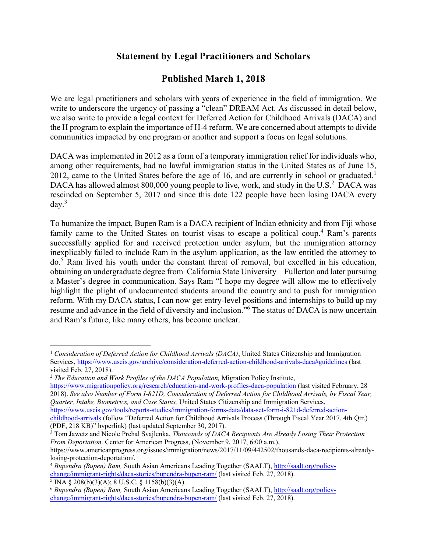## **Statement by Legal Practitioners and Scholars**

## **Published March 1, 2018**

We are legal practitioners and scholars with years of experience in the field of immigration. We write to underscore the urgency of passing a "clean" DREAM Act. As discussed in detail below, we also write to provide a legal context for Deferred Action for Childhood Arrivals (DACA) and the H program to explain the importance of H-4 reform. We are concerned about attempts to divide communities impacted by one program or another and support a focus on legal solutions.

DACA was implemented in 2012 as a form of a temporary immigration relief for individuals who, among other requirements, had no lawful immigration status in the United States as of June 15, 2012, came to the United States before the age of 16, and are currently in school or graduated.<sup>1</sup> DACA has allowed almost 800,000 young people to live, work, and study in the U.S.<sup>2</sup> DACA was rescinded on September 5, 2017 and since this date 122 people have been losing DACA every  $\mathrm{dav.}^3$ 

To humanize the impact, Bupen Ram is a DACA recipient of Indian ethnicity and from Fiji whose family came to the United States on tourist visas to escape a political coup.<sup>4</sup> Ram's parents successfully applied for and received protection under asylum, but the immigration attorney inexplicably failed to include Ram in the asylum application, as the law entitled the attorney to do.<sup>5</sup> Ram lived his youth under the constant threat of removal, but excelled in his education, obtaining an undergraduate degree from California State University – Fullerton and later pursuing a Master's degree in communication. Says Ram "I hope my degree will allow me to effectively highlight the plight of undocumented students around the country and to push for immigration reform. With my DACA status, I can now get entry-level positions and internships to build up my resume and advance in the field of diversity and inclusion."<sup>6</sup> The status of DACA is now uncertain and Ram's future, like many others, has become unclear.

<https://www.migrationpolicy.org/research/education-and-work-profiles-daca-population> (last visited February, 28 2018). *See also Number of Form I-821D, Consideration of Deferred Action for Childhood Arrivals, by Fiscal Year, Quarter, Intake, Biometrics, and Case Status,* United States Citizenship and Immigration Services, [https://www.uscis.gov/tools/reports-studies/immigration-forms-data/data-set-form-i-821d-deferred-action-](https://www.uscis.gov/tools/reports-studies/immigration-forms-data/data-set-form-i-821d-deferred-action-childhood-arrivals)

<sup>3</sup> Tom Jawetz and Nicole Prchal Svajlenka, *Thousands of DACA Recipients Are Already Losing Their Protection From Deportation,* Center for American Progress, (November 9, 2017, 6:00 a.m.),

 $\overline{\phantom{a}}$ 

<sup>1</sup> *Consideration of Deferred Action for Childhood Arrivals (DACA)*, United States Citizenship and Immigration Services,<https://www.uscis.gov/archive/consideration-deferred-action-childhood-arrivals-daca#guidelines> (last visited Feb. 27, 2018).

<sup>2</sup> *The Education and Work Profiles of the DACA Population,* Migration Policy Institute,

[childhood-arrivals](https://www.uscis.gov/tools/reports-studies/immigration-forms-data/data-set-form-i-821d-deferred-action-childhood-arrivals) (follow "Deferred Action for Childhood Arrivals Process (Through Fiscal Year 2017, 4th Qtr.) (PDF, 218 KB)" hyperlink) (last updated September 30, 2017).

https://www.americanprogress.org/issues/immigration/news/2017/11/09/442502/thousands-daca-recipients-alreadylosing-protection-deportation/.

<sup>4</sup> *Bupendra (Bupen) Ram,* South Asian Americans Leading Together (SAALT), [http://saalt.org/policy](http://saalt.org/policy-change/immigrant-rights/daca-stories/bupendra-bupen-ram/)[change/immigrant-rights/daca-stories/bupendra-bupen-ram/](http://saalt.org/policy-change/immigrant-rights/daca-stories/bupendra-bupen-ram/) (last visited Feb. 27, 2018).

 $5$  INA § 208(b)(3)(A); 8 U.S.C. § 1158(b)(3)(A).

<sup>6</sup> *Bupendra (Bupen) Ram,* South Asian Americans Leading Together (SAALT), [http://saalt.org/policy](http://saalt.org/policy-change/immigrant-rights/daca-stories/bupendra-bupen-ram/)[change/immigrant-rights/daca-stories/bupendra-bupen-ram/](http://saalt.org/policy-change/immigrant-rights/daca-stories/bupendra-bupen-ram/) (last visited Feb. 27, 2018).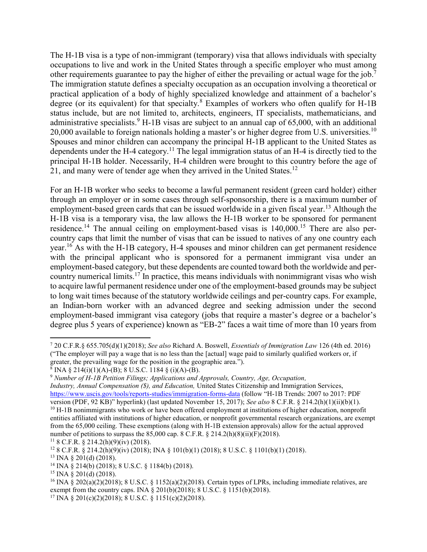The H-1B visa is a type of non-immigrant (temporary) visa that allows individuals with specialty occupations to live and work in the United States through a specific employer who must among other requirements guarantee to pay the higher of either the prevailing or actual wage for the job.<sup>7</sup> The immigration statute defines a specialty occupation as an occupation involving a theoretical or practical application of a body of highly specialized knowledge and attainment of a bachelor's degree (or its equivalent) for that specialty.<sup>8</sup> Examples of workers who often qualify for H-1B status include, but are not limited to, architects, engineers, IT specialists, mathematicians, and administrative specialists.<sup>9</sup> H-1B visas are subject to an annual cap of  $65,000$ , with an additional 20,000 available to foreign nationals holding a master's or higher degree from U.S. universities.<sup>10</sup> Spouses and minor children can accompany the principal H-1B applicant to the United States as dependents under the H-4 category.<sup>11</sup> The legal immigration status of an H-4 is directly tied to the principal H-1B holder. Necessarily, H-4 children were brought to this country before the age of 21, and many were of tender age when they arrived in the United States.<sup>12</sup>

For an H-1B worker who seeks to become a lawful permanent resident (green card holder) either through an employer or in some cases through self-sponsorship, there is a maximum number of employment-based green cards that can be issued worldwide in a given fiscal year.<sup>13</sup> Although the H-1B visa is a temporary visa, the law allows the H-1B worker to be sponsored for permanent residence.<sup>14</sup> The annual ceiling on employment-based visas is 140,000.<sup>15</sup> There are also percountry caps that limit the number of visas that can be issued to natives of any one country each year.<sup>16</sup> As with the H-1B category, H-4 spouses and minor children can get permanent residence with the principal applicant who is sponsored for a permanent immigrant visa under an employment-based category, but these dependents are counted toward both the worldwide and percountry numerical limits.<sup>17</sup> In practice, this means individuals with nonimmigrant visas who wish to acquire lawful permanent residence under one of the employment-based grounds may be subject to long wait times because of the statutory worldwide ceilings and per-country caps. For example, an Indian-born worker with an advanced degree and seeking admission under the second employment-based immigrant visa category (jobs that require a master's degree or a bachelor's degree plus 5 years of experience) known as "EB-2" faces a wait time of more than 10 years from

<sup>9</sup> *Number of H-1B Petition Filings; Applications and Approvals, Country, Age, Occupation,*

*Industry, Annual Compensation (\$), and Education,* United States Citizenship and Immigration Services, <https://www.uscis.gov/tools/reports-studies/immigration-forms-data> (follow "H-1B Trends: 2007 to 2017: PDF version (PDF, 92 KB)" hyperlink) (last updated November 15, 2017); *See also* 8 C.F.R. § 214.2(h)(1)(ii)(b)(1). <sup>10</sup> H-1B nonimmigrants who work or have been offered employment at institutions of higher education, nonprofit entities affiliated with institutions of higher education, or nonprofit governmental research organizations, are exempt from the 65,000 ceiling. These exemptions (along with H-1B extension approvals) allow for the actual approved number of petitions to surpass the  $85,000$  cap.  $8$  C.F.R.  $\S 214.2(h)(8)(ii)(F)(2018)$ .

 $118$  C.F.R. § 214.2(h)(9)(iv) (2018).

 $\overline{a}$ <sup>7</sup> 20 C.F.R.§ 655.705(d)(1)(2018); *See also* Richard A. Boswell, *Essentials of Immigration Law* 126 (4th ed. 2016) ("The employer will pay a wage that is no less than the [actual] wage paid to similarly qualified workers or, if greater, the prevailing wage for the position in the geographic area.").

 $8 \text{ INA } $214(i)(1)(A) - (B); 8 U.S.C. 1184 $ (i)(A) - (B).$ 

<sup>&</sup>lt;sup>12</sup> 8 C.F.R. § 214.2(h)(9)(iv) (2018); INA § 101(b)(1) (2018); 8 U.S.C. § 1101(b)(1) (2018).

<sup>13</sup> INA § 201(d) (2018).

<sup>&</sup>lt;sup>14</sup> INA  $\frac{8}{9}$  214(b) (2018); 8 U.S.C. § 1184(b) (2018).

 $15$  INA § 201(d) (2018).

<sup>&</sup>lt;sup>16</sup> INA § 202(a)(2)(2018); 8 U.S.C. § 1152(a)(2)(2018). Certain types of LPRs, including immediate relatives, are exempt from the country caps. INA § 201(b)(2018); 8 U.S.C. § 1151(b)(2018).

<sup>&</sup>lt;sup>17</sup> INA § 201(c)(2)(2018); 8 U.S.C. § 1151(c)(2)(2018).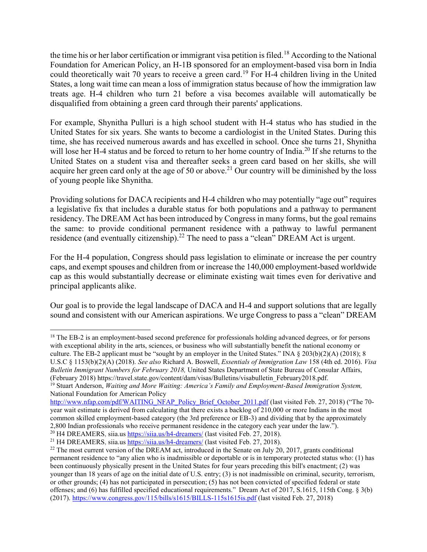the time his or her labor certification or immigrant visa petition is filed.<sup>18</sup> According to the National Foundation for American Policy, an H-1B sponsored for an employment-based visa born in India could theoretically wait 70 years to receive a green card.<sup>19</sup> For H-4 children living in the United States, a long wait time can mean a loss of immigration status because of how the immigration law treats age. H-4 children who turn 21 before a visa becomes available will automatically be disqualified from obtaining a green card through their parents' applications.

For example, Shynitha Pulluri is a high school student with H-4 status who has studied in the United States for six years. She wants to become a cardiologist in the United States. During this time, she has received numerous awards and has excelled in school. Once she turns 21, Shynitha will lose her H-4 status and be forced to return to her home country of India.<sup>20</sup> If she returns to the United States on a student visa and thereafter seeks a green card based on her skills, she will acquire her green card only at the age of 50 or above.<sup>21</sup> Our country will be diminished by the loss of young people like Shynitha.

Providing solutions for DACA recipients and H-4 children who may potentially "age out" requires a legislative fix that includes a durable status for both populations and a pathway to permanent residency. The DREAM Act has been introduced by Congress in many forms, but the goal remains the same: to provide conditional permanent residence with a pathway to lawful permanent residence (and eventually citizenship).<sup>22</sup> The need to pass a "clean" DREAM Act is urgent.

For the H-4 population, Congress should pass legislation to eliminate or increase the per country caps, and exempt spouses and children from or increase the 140,000 employment-based worldwide cap as this would substantially decrease or eliminate existing wait times even for derivative and principal applicants alike.

Our goal is to provide the legal landscape of DACA and H-4 and support solutions that are legally sound and consistent with our American aspirations. We urge Congress to pass a "clean" DREAM

 $\overline{\phantom{a}}$ <sup>18</sup> The EB-2 is an employment-based second preference for professionals holding advanced degrees, or for persons with exceptional ability in the arts, sciences, or business who will substantially benefit the national economy or culture. The EB-2 applicant must be "sought by an employer in the United States." INA § 203(b)(2)(A) (2018); 8 U.S.C § 1153(b)(2)(A) (2018). *See also* Richard A. Boswell, *Essentials of Immigration Law* 158 (4th ed. 2016). *Visa Bulletin Immigrant Numbers for February 2018,* United States Department of State Bureau of Consular Affairs, (February 2018) https://travel.state.gov/content/dam/visas/Bulletins/visabulletin\_February2018.pdf.

<sup>19</sup> Stuart Anderson, *Waiting and More Waiting: America's Family and Employment-Based Immigration System,*  National Foundation for American Policy

[http://www.nfap.com/pdf/WAITING\\_NFAP\\_Policy\\_Brief\\_October\\_2011.pdf](http://www.nfap.com/pdf/WAITING_NFAP_Policy_Brief_October_2011.pdf) (last visited Feb. 27, 2018) ("The 70year wait estimate is derived from calculating that there exists a backlog of 210,000 or more Indians in the most common skilled employment-based category (the 3rd preference or EB-3) and dividing that by the approximately 2,800 Indian professionals who receive permanent residence in the category each year under the law.").

<sup>&</sup>lt;sup>20</sup> H4 DREAMERS, siia.us<https://siia.us/h4-dreamers/> (last visited Feb. 27, 2018).

<sup>&</sup>lt;sup>21</sup> H4 DREAMERS, siia.us  $\frac{\text{https://siia.us/h4-dreamers/}}{\text{https://siia.us/h4-dreamers/}}$  (last visited Feb. 27, 2018).

<sup>&</sup>lt;sup>22</sup> The most current version of the DREAM act, introduced in the Senate on July 20, 2017, grants conditional permanent residence to "any alien who is inadmissible or deportable or is in temporary protected status who: (1) has been continuously physically present in the United States for four years preceding this bill's enactment; (2) was younger than 18 years of age on the initial date of U.S. entry; (3) is not inadmissible on criminal, security, terrorism, or other grounds; (4) has not participated in persecution; (5) has not been convicted of specified federal or state offenses; and (6) has fulfilled specified educational requirements." Dream Act of 2017, S.1615, 115th Cong. § 3(b) (2017)[. https://www.congress.gov/115/bills/s1615/BILLS-115s1615is.pdf](https://www.congress.gov/115/bills/s1615/BILLS-115s1615is.pdf) (last visited Feb. 27, 2018)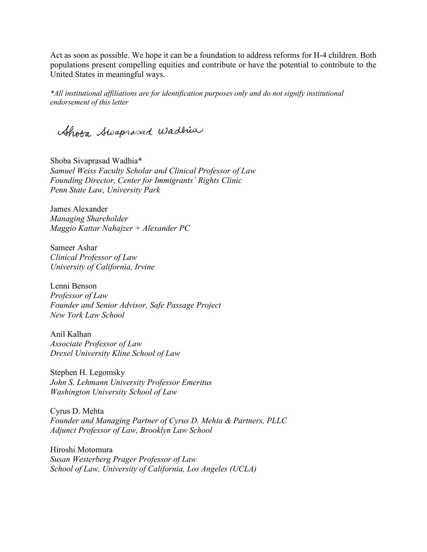Act as soon as possible. We hope it can be a foundation to address reforms for H-4 children. Both populations present compelling equities and contribute or have the potential to contribute to the United States in meaningful ways.

*\*All institutional affiliations are for identification purposes only and do not signify institutional endorsement of this letter*

Shota Awaprosad Wadhia

Shoba Sivaprasad Wadhia\* *Samuel Weiss Faculty Scholar and Clinical Professor of Law Founding Director, Center for Immigrants' Rights Clinic Penn State Law, University Park*

James Alexander *Managing Shareholder Maggio Kattar Nahajzer + Alexander PC*

Sameer Ashar *Clinical Professor of Law University of California, Irvine*

Lenni Benson *Professor of Law Founder and Senior Advisor, Safe Passage Project New York Law School*

Anil Kalhan *Associate Professor of Law Drexel University Kline School of Law*

Stephen H. Legomsky *John S. Lehmann University Professor Emeritus Washington University School of Law*

Cyrus D. Mehta *Founder and Managing Partner of Cyrus D. Mehta & Partners, PLLC Adjunct Professor of Law, Brooklyn Law School*

Hiroshi Motomura *Susan Westerberg Prager Professor of Law School of Law, University of California, Los Angeles (UCLA)*